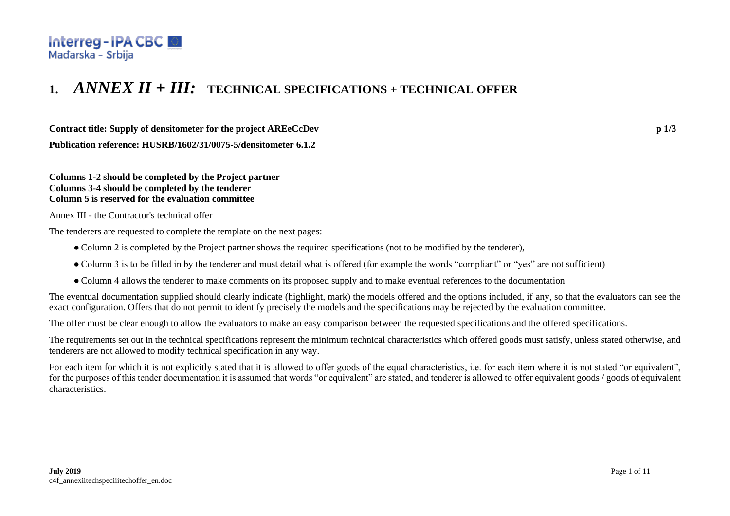

## **1.** *ANNEX II + III:* **TECHNICAL SPECIFICATIONS + TECHNICAL OFFER**

**Contract title: Supply of densitometer for the project AREeCcDev p 1/3**

**Publication reference: HUSRB/1602/31/0075-5/densitometer 6.1.2**

**Columns 1-2 should be completed by the Project partner Columns 3-4 should be completed by the tenderer Column 5 is reserved for the evaluation committee** 

Annex III - the Contractor's technical offer

The tenderers are requested to complete the template on the next pages:

- Column 2 is completed by the Project partner shows the required specifications (not to be modified by the tenderer),
- Column 3 is to be filled in by the tenderer and must detail what is offered (for example the words "compliant" or "yes" are not sufficient)
- Column 4 allows the tenderer to make comments on its proposed supply and to make eventual references to the documentation

The eventual documentation supplied should clearly indicate (highlight, mark) the models offered and the options included, if any, so that the evaluators can see the exact configuration. Offers that do not permit to identify precisely the models and the specifications may be rejected by the evaluation committee.

The offer must be clear enough to allow the evaluators to make an easy comparison between the requested specifications and the offered specifications.

The requirements set out in the technical specifications represent the minimum technical characteristics which offered goods must satisfy, unless stated otherwise, and tenderers are not allowed to modify technical specification in any way.

For each item for which it is not explicitly stated that it is allowed to offer goods of the equal characteristics, i.e. for each item where it is not stated "or equivalent", for the purposes of this tender documentation it is assumed that words "or equivalent" are stated, and tenderer is allowed to offer equivalent goods / goods of equivalent characteristics.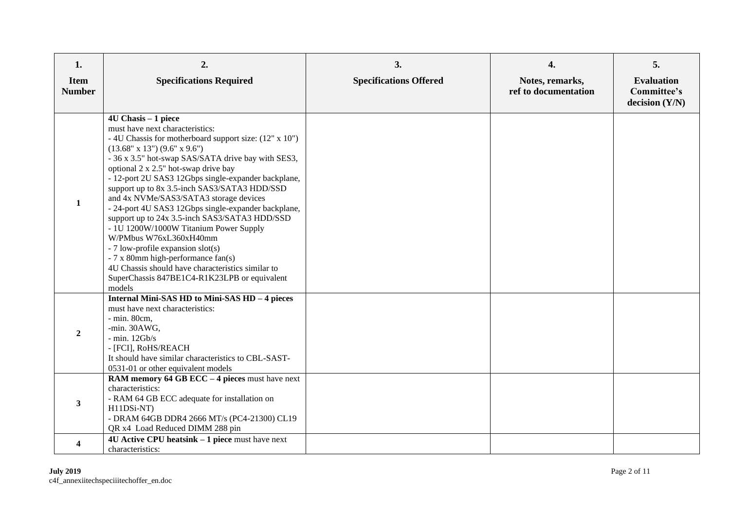| 1.                           | 2.                                                                                                                                                                                                                                                                                                                                                                                                                                                                                                                                                                                                                                                                                                                                                                    | 3.                            | 4.                                      | 5.                                                   |
|------------------------------|-----------------------------------------------------------------------------------------------------------------------------------------------------------------------------------------------------------------------------------------------------------------------------------------------------------------------------------------------------------------------------------------------------------------------------------------------------------------------------------------------------------------------------------------------------------------------------------------------------------------------------------------------------------------------------------------------------------------------------------------------------------------------|-------------------------------|-----------------------------------------|------------------------------------------------------|
| <b>Item</b><br><b>Number</b> | <b>Specifications Required</b>                                                                                                                                                                                                                                                                                                                                                                                                                                                                                                                                                                                                                                                                                                                                        | <b>Specifications Offered</b> | Notes, remarks,<br>ref to documentation | <b>Evaluation</b><br>Committee's<br>decision $(Y/N)$ |
| $\mathbf{1}$                 | 4U Chasis - 1 piece<br>must have next characteristics:<br>- 4U Chassis for motherboard support size: (12" x 10")<br>(13.68" x 13") (9.6" x 9.6")<br>- 36 x 3.5" hot-swap SAS/SATA drive bay with SES3,<br>optional 2 x 2.5" hot-swap drive bay<br>- 12-port 2U SAS3 12Gbps single-expander backplane,<br>support up to 8x 3.5-inch SAS3/SATA3 HDD/SSD<br>and 4x NVMe/SAS3/SATA3 storage devices<br>- 24-port 4U SAS3 12Gbps single-expander backplane,<br>support up to 24x 3.5-inch SAS3/SATA3 HDD/SSD<br>- 1U 1200W/1000W Titanium Power Supply<br>W/PMbus W76xL360xH40mm<br>- 7 low-profile expansion slot(s)<br>- 7 x 80mm high-performance fan(s)<br>4U Chassis should have characteristics similar to<br>SuperChassis 847BE1C4-R1K23LPB or equivalent<br>models |                               |                                         |                                                      |
| $\mathbf{2}$                 | Internal Mini-SAS HD to Mini-SAS HD - 4 pieces<br>must have next characteristics:<br>- min. 80cm,<br>-min. 30AWG,<br>$-$ min. 12Gb/s<br>- [FCI], RoHS/REACH<br>It should have similar characteristics to CBL-SAST-<br>0531-01 or other equivalent models                                                                                                                                                                                                                                                                                                                                                                                                                                                                                                              |                               |                                         |                                                      |
| $\mathbf{3}$                 | RAM memory 64 GB ECC $-4$ pieces must have next<br>characteristics:<br>- RAM 64 GB ECC adequate for installation on<br>H11DSi-NT)<br>- DRAM 64GB DDR4 2666 MT/s (PC4-21300) CL19<br>QR x4 Load Reduced DIMM 288 pin                                                                                                                                                                                                                                                                                                                                                                                                                                                                                                                                                   |                               |                                         |                                                      |
| 4                            | 4U Active CPU heatsink - 1 piece must have next<br>characteristics:                                                                                                                                                                                                                                                                                                                                                                                                                                                                                                                                                                                                                                                                                                   |                               |                                         |                                                      |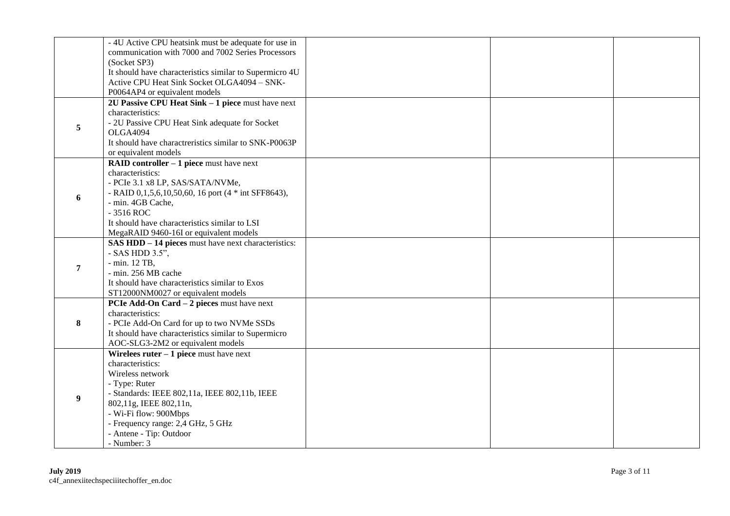|                  | - 4U Active CPU heatsink must be adequate for use in<br>communication with 7000 and 7002 Series Processors             |  |              |
|------------------|------------------------------------------------------------------------------------------------------------------------|--|--------------|
|                  | (Socket SP3)<br>It should have characteristics similar to Supermicro 4U<br>Active CPU Heat Sink Socket OLGA4094 - SNK- |  |              |
|                  | P0064AP4 or equivalent models                                                                                          |  |              |
|                  | 2U Passive CPU Heat Sink - 1 piece must have next                                                                      |  |              |
|                  | characteristics:                                                                                                       |  |              |
| 5                | - 2U Passive CPU Heat Sink adequate for Socket                                                                         |  |              |
|                  | <b>OLGA4094</b>                                                                                                        |  |              |
|                  | It should have charactreristics similar to SNK-P0063P                                                                  |  |              |
|                  | or equivalent models                                                                                                   |  |              |
|                  | RAID controller $-1$ piece must have next<br>characteristics:                                                          |  |              |
|                  |                                                                                                                        |  |              |
|                  | - PCIe 3.1 x8 LP, SAS/SATA/NVMe,                                                                                       |  |              |
| 6                | - RAID $0,1,5,6,10,50,60,16$ port (4 $*$ int SFF8643),                                                                 |  |              |
|                  | - min. 4GB Cache,<br>- 3516 ROC                                                                                        |  |              |
|                  | It should have characteristics similar to LSI                                                                          |  |              |
|                  |                                                                                                                        |  |              |
|                  | MegaRAID 9460-16I or equivalent models                                                                                 |  |              |
|                  | SAS HDD - 14 pieces must have next characteristics:<br>- SAS HDD 3.5",                                                 |  |              |
|                  | - min. 12 TB,                                                                                                          |  |              |
| $\overline{7}$   | - min. 256 MB cache                                                                                                    |  |              |
|                  | It should have characteristics similar to Exos                                                                         |  |              |
|                  | ST12000NM0027 or equivalent models                                                                                     |  |              |
|                  | PCIe Add-On Card - 2 pieces must have next                                                                             |  |              |
|                  | characteristics:                                                                                                       |  |              |
| 8                | - PCIe Add-On Card for up to two NVMe SSDs                                                                             |  |              |
|                  | It should have characteristics similar to Supermicro                                                                   |  |              |
|                  | AOC-SLG3-2M2 or equivalent models                                                                                      |  |              |
|                  | Wirelees $\text{ruter} - 1$ piece must have next                                                                       |  |              |
|                  | characteristics:                                                                                                       |  |              |
|                  | Wireless network                                                                                                       |  |              |
|                  | - Type: Ruter                                                                                                          |  |              |
|                  | - Standards: IEEE 802,11a, IEEE 802,11b, IEEE                                                                          |  |              |
| 9 <sup>°</sup>   | 802,11g, IEEE 802,11n,                                                                                                 |  |              |
|                  | - Wi-Fi flow: 900Mbps                                                                                                  |  |              |
|                  | - Frequency range: 2,4 GHz, 5 GHz                                                                                      |  |              |
|                  | - Antene - Tip: Outdoor                                                                                                |  |              |
|                  | - Number: 3                                                                                                            |  |              |
|                  |                                                                                                                        |  |              |
|                  |                                                                                                                        |  |              |
| <b>July 2019</b> |                                                                                                                        |  | Page 3 of 11 |
|                  | c4f annexiitechspeciiitechoffer en.doc                                                                                 |  |              |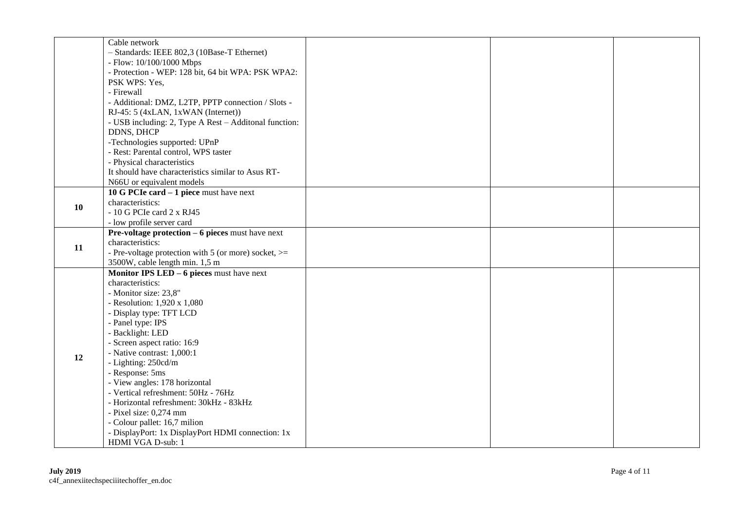|           | Cable network                                                       |  |  |
|-----------|---------------------------------------------------------------------|--|--|
|           | - Standards: IEEE 802,3 (10Base-T Ethernet)                         |  |  |
|           | - Flow: 10/100/1000 Mbps                                            |  |  |
|           | - Protection - WEP: 128 bit, 64 bit WPA: PSK WPA2:                  |  |  |
|           | PSK WPS: Yes,                                                       |  |  |
|           | - Firewall                                                          |  |  |
|           | - Additional: DMZ, L2TP, PPTP connection / Slots -                  |  |  |
|           | RJ-45: 5 (4xLAN, 1xWAN (Internet))                                  |  |  |
|           | - USB including: 2, Type A Rest - Additonal function:               |  |  |
|           | DDNS, DHCP                                                          |  |  |
|           | -Technologies supported: UPnP                                       |  |  |
|           | - Rest: Parental control, WPS taster                                |  |  |
|           | - Physical characteristics                                          |  |  |
|           | It should have characteristics similar to Asus RT-                  |  |  |
|           | N66U or equivalent models                                           |  |  |
|           | 10 G PCIe card $-1$ piece must have next                            |  |  |
| <b>10</b> | characteristics:                                                    |  |  |
|           | $-10$ G PCIe card $2 \times RJ45$                                   |  |  |
|           | - low profile server card                                           |  |  |
| 11        | <b>Pre-voltage protection <math>-6</math> pieces</b> must have next |  |  |
|           | characteristics:                                                    |  |  |
|           | - Pre-voltage protection with 5 (or more) socket, $>=$              |  |  |
|           | 3500W, cable length min. 1,5 m                                      |  |  |
|           | Monitor IPS LED - 6 pieces must have next                           |  |  |
|           | characteristics:                                                    |  |  |
|           | - Monitor size: 23,8"                                               |  |  |
|           | - Resolution: 1,920 x 1,080                                         |  |  |
|           | - Display type: TFT LCD                                             |  |  |
|           | - Panel type: IPS                                                   |  |  |
|           | - Backlight: LED                                                    |  |  |
|           | - Screen aspect ratio: 16:9                                         |  |  |
| 12        | - Native contrast: 1,000:1                                          |  |  |
|           | - Lighting: 250cd/m                                                 |  |  |
|           | - Response: 5ms                                                     |  |  |
|           | - View angles: 178 horizontal                                       |  |  |
|           | - Vertical refreshment: 50Hz - 76Hz                                 |  |  |
|           | - Horizontal refreshment: 30kHz - 83kHz                             |  |  |
|           | - Pixel size: $0,274$ mm                                            |  |  |
|           | - Colour pallet: 16,7 milion                                        |  |  |
|           | - DisplayPort: 1x DisplayPort HDMI connection: 1x                   |  |  |
|           | HDMI VGA D-sub: 1                                                   |  |  |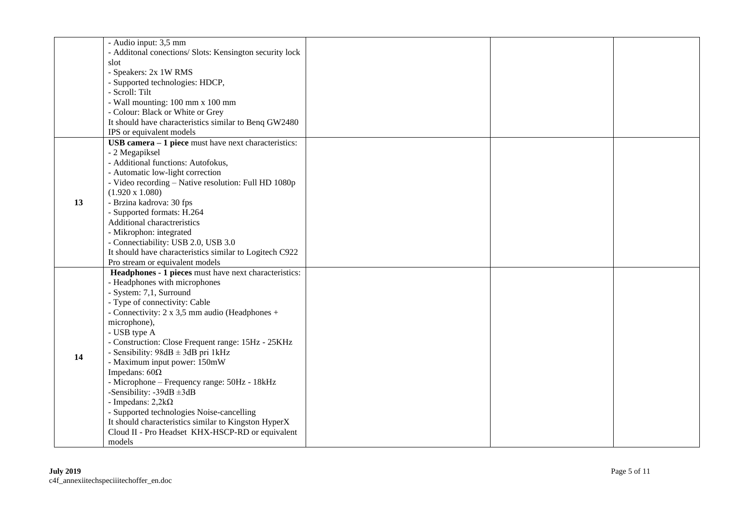|           | slot<br>- Speakers: 2x 1W RMS                                           |  |              |
|-----------|-------------------------------------------------------------------------|--|--------------|
|           | - Supported technologies: HDCP,<br>- Scroll: Tilt                       |  |              |
|           | - Wall mounting: 100 mm x 100 mm<br>- Colour: Black or White or Grey    |  |              |
|           | It should have characteristics similar to Benq GW2480                   |  |              |
|           | IPS or equivalent models                                                |  |              |
|           | <b>USB camera <math>-1</math> piece</b> must have next characteristics: |  |              |
|           | - 2 Megapiksel                                                          |  |              |
|           | - Additional functions: Autofokus,                                      |  |              |
|           | - Automatic low-light correction                                        |  |              |
|           | - Video recording - Native resolution: Full HD 1080p                    |  |              |
|           | $(1.920 \times 1.080)$                                                  |  |              |
| 13        | - Brzina kadrova: 30 fps                                                |  |              |
|           | - Supported formats: H.264                                              |  |              |
|           | Additional charactreristics                                             |  |              |
|           | - Mikrophon: integrated                                                 |  |              |
|           | - Connectiability: USB 2.0, USB 3.0                                     |  |              |
|           | It should have characteristics similar to Logitech C922                 |  |              |
|           | Pro stream or equivalent models                                         |  |              |
|           | Headphones - 1 pieces must have next characteristics:                   |  |              |
|           | - Headphones with microphones                                           |  |              |
|           | - System: 7,1, Surround                                                 |  |              |
|           | - Type of connectivity: Cable                                           |  |              |
|           | - Connectivity: $2 \times 3,5$ mm audio (Headphones +                   |  |              |
|           | microphone),                                                            |  |              |
|           | - USB type A                                                            |  |              |
|           | - Construction: Close Frequent range: 15Hz - 25KHz                      |  |              |
| 14        | - Sensibility: $98dB \pm 3dB$ pri 1kHz                                  |  |              |
|           | - Maximum input power: 150mW                                            |  |              |
|           | Impedans: $60\Omega$                                                    |  |              |
|           | - Microphone - Frequency range: 50Hz - 18kHz                            |  |              |
|           | -Sensibility: $-39dB \pm 3dB$                                           |  |              |
|           | - Impedans: $2,2k\Omega$                                                |  |              |
|           | - Supported technologies Noise-cancelling                               |  |              |
|           | It should characteristics similar to Kingston HyperX                    |  |              |
|           | Cloud II - Pro Headset KHX-HSCP-RD or equivalent                        |  |              |
|           | models                                                                  |  |              |
|           |                                                                         |  |              |
|           |                                                                         |  |              |
| July 2019 |                                                                         |  | Page 5 of 11 |
|           | c4f annexiitechspeciiitechoffer en.doc                                  |  |              |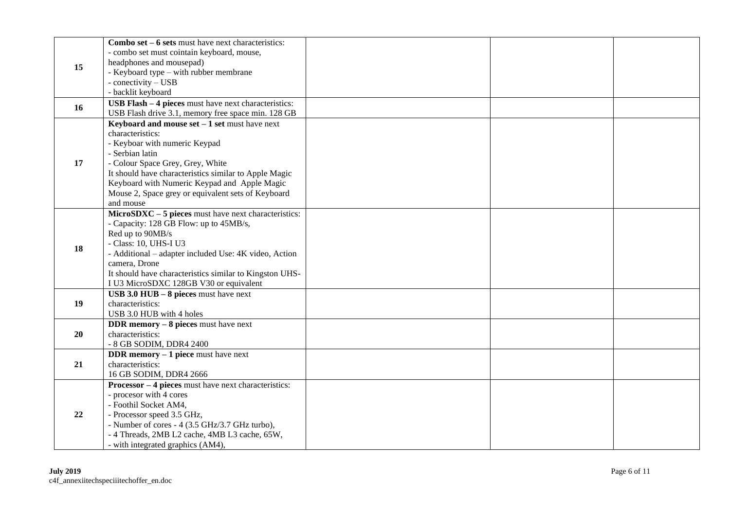|    | Combo set $-6$ sets must have next characteristics:                     |  |  |
|----|-------------------------------------------------------------------------|--|--|
|    | - combo set must cointain keyboard, mouse,                              |  |  |
| 15 | headphones and mousepad)                                                |  |  |
|    | - Keyboard type – with rubber membrane                                  |  |  |
|    | - conectivity - USB                                                     |  |  |
|    | - backlit keyboard                                                      |  |  |
|    | <b>USB Flash <math>-4</math> pieces</b> must have next characteristics: |  |  |
| 16 | USB Flash drive 3.1, memory free space min. 128 GB                      |  |  |
|    | Keyboard and mouse $set - 1$ set must have next                         |  |  |
|    | characteristics:                                                        |  |  |
|    | - Keyboar with numeric Keypad                                           |  |  |
|    | - Serbian latin                                                         |  |  |
| 17 | - Colour Space Grey, Grey, White                                        |  |  |
|    | It should have characteristics similar to Apple Magic                   |  |  |
|    | Keyboard with Numeric Keypad and Apple Magic                            |  |  |
|    | Mouse 2, Space grey or equivalent sets of Keyboard                      |  |  |
|    | and mouse                                                               |  |  |
|    | $MicroSDXC - 5$ pieces must have next characteristics:                  |  |  |
|    | - Capacity: 128 GB Flow: up to 45MB/s,                                  |  |  |
|    | Red up to 90MB/s                                                        |  |  |
|    | - Class: 10, UHS-I U3                                                   |  |  |
| 18 | - Additional - adapter included Use: 4K video, Action                   |  |  |
|    | camera, Drone                                                           |  |  |
|    | It should have characteristics similar to Kingston UHS-                 |  |  |
|    | I U3 MicroSDXC 128GB V30 or equivalent                                  |  |  |
|    | USB $3.0$ HUB $-8$ pieces must have next                                |  |  |
| 19 | characteristics:                                                        |  |  |
|    | USB 3.0 HUB with 4 holes                                                |  |  |
|    | DDR memory $-8$ pieces must have next                                   |  |  |
| 20 | characteristics:                                                        |  |  |
|    | - 8 GB SODIM, DDR4 2400                                                 |  |  |
|    | <b>DDR</b> memory $-1$ piece must have next                             |  |  |
| 21 | characteristics:                                                        |  |  |
|    | 16 GB SODIM, DDR4 2666                                                  |  |  |
|    | Processor - 4 pieces must have next characteristics:                    |  |  |
|    | - procesor with 4 cores                                                 |  |  |
|    | - Foothil Socket AM4,                                                   |  |  |
| 22 | - Processor speed 3.5 GHz,                                              |  |  |
|    | - Number of cores - 4 (3.5 GHz/3.7 GHz turbo),                          |  |  |
|    | - 4 Threads, 2MB L2 cache, 4MB L3 cache, 65W,                           |  |  |
|    | - with integrated graphics (AM4),                                       |  |  |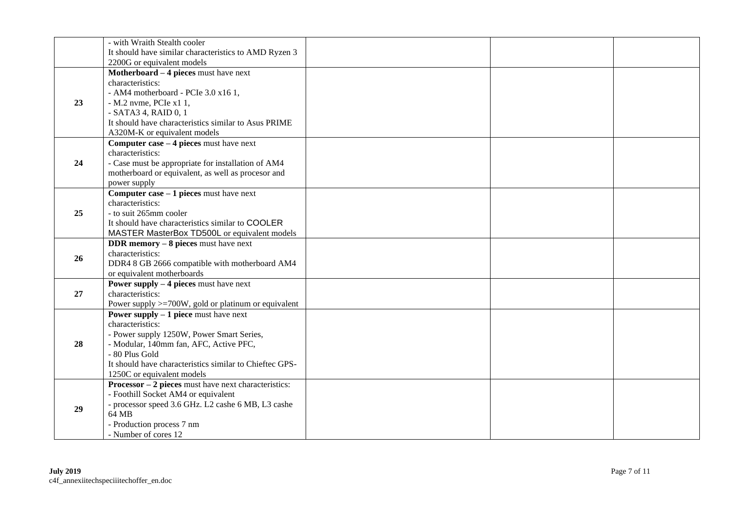|                  | - with Wraith Stealth cooler                                                                     |  |              |
|------------------|--------------------------------------------------------------------------------------------------|--|--------------|
|                  | It should have similar characteristics to AMD Ryzen 3<br>2200G or equivalent models              |  |              |
|                  | Motherboard $-4$ pieces must have next                                                           |  |              |
|                  | characteristics:                                                                                 |  |              |
|                  | - AM4 motherboard - PCIe 3.0 x16 1,                                                              |  |              |
| 23               | $- M.2$ nvme, PCIe x1 1,                                                                         |  |              |
|                  | - SATA3 4, RAID 0, 1                                                                             |  |              |
|                  | It should have characteristics similar to Asus PRIME                                             |  |              |
|                  | A320M-K or equivalent models                                                                     |  |              |
|                  | Computer case $-4$ pieces must have next                                                         |  |              |
|                  | characteristics:                                                                                 |  |              |
| 24               | - Case must be appropriate for installation of AM4                                               |  |              |
|                  | motherboard or equivalent, as well as procesor and                                               |  |              |
|                  | power supply                                                                                     |  |              |
|                  | Computer case $-1$ pieces must have next                                                         |  |              |
|                  | characteristics:                                                                                 |  |              |
| 25               | - to suit 265mm cooler                                                                           |  |              |
|                  | It should have characteristics similar to COOLER<br>MASTER MasterBox TD500L or equivalent models |  |              |
|                  | DDR memory $-8$ pieces must have next                                                            |  |              |
|                  | characteristics:                                                                                 |  |              |
| 26               | DDR4 8 GB 2666 compatible with motherboard AM4                                                   |  |              |
|                  | or equivalent motherboards                                                                       |  |              |
|                  | <b>Power supply <math>-4</math> pieces</b> must have next                                        |  |              |
| 27               | characteristics:                                                                                 |  |              |
|                  | Power supply $>=700W$ , gold or platinum or equivalent                                           |  |              |
|                  | <b>Power supply <math>-1</math> piece must have next</b>                                         |  |              |
|                  | characteristics:                                                                                 |  |              |
|                  | - Power supply 1250W, Power Smart Series,                                                        |  |              |
| 28               | - Modular, 140mm fan, AFC, Active PFC,<br>- 80 Plus Gold                                         |  |              |
|                  | It should have characteristics similar to Chieftec GPS-                                          |  |              |
|                  | 1250C or equivalent models                                                                       |  |              |
|                  | <b>Processor</b> $-2$ pieces must have next characteristics:                                     |  |              |
|                  | - Foothill Socket AM4 or equivalent                                                              |  |              |
|                  | - processor speed 3.6 GHz. L2 cashe 6 MB, L3 cashe                                               |  |              |
| 29               | 64 MB                                                                                            |  |              |
|                  | - Production process 7 nm                                                                        |  |              |
|                  | - Number of cores 12                                                                             |  |              |
|                  |                                                                                                  |  |              |
|                  |                                                                                                  |  |              |
| <b>July 2019</b> |                                                                                                  |  | Page 7 of 11 |
|                  | c4f_annexiitechspeciiitechoffer_en.doc                                                           |  |              |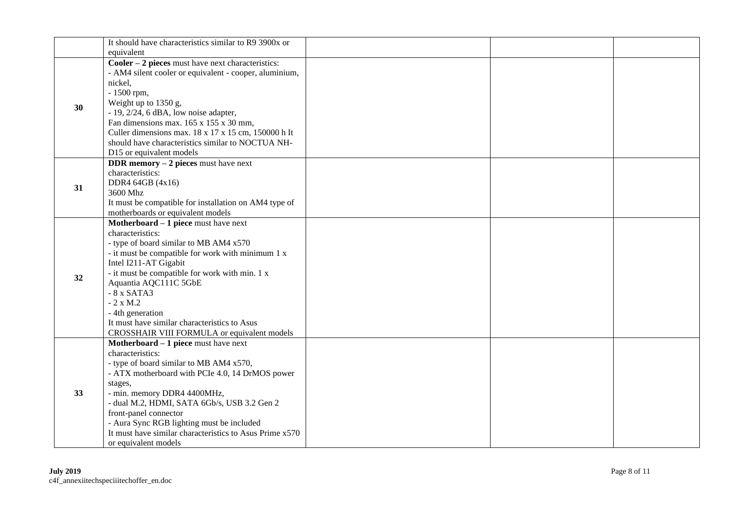|    | It should have characteristics similar to R9 3900x or<br>equivalent                                                                                                                                                                                                                                                                                                                                                         |  |  |
|----|-----------------------------------------------------------------------------------------------------------------------------------------------------------------------------------------------------------------------------------------------------------------------------------------------------------------------------------------------------------------------------------------------------------------------------|--|--|
| 30 | $\text{Cooler} - 2$ pieces must have next characteristics:<br>- AM4 silent cooler or equivalent - cooper, aluminium,<br>nickel,<br>- 1500 rpm,<br>Weight up to 1350 g,<br>- 19, 2/24, 6 dBA, low noise adapter,<br>Fan dimensions max. 165 x 155 x 30 mm,<br>Culler dimensions max. 18 x 17 x 15 cm, 150000 h It<br>should have characteristics similar to NOCTUA NH-<br>D15 or equivalent models                           |  |  |
| 31 | DDR memory $-2$ pieces must have next<br>characteristics:<br>DDR4 64GB (4x16)<br>3600 Mhz<br>It must be compatible for installation on AM4 type of<br>motherboards or equivalent models                                                                                                                                                                                                                                     |  |  |
| 32 | Motherboard $-1$ piece must have next<br>characteristics:<br>- type of board similar to MB AM4 x570<br>- it must be compatible for work with minimum 1 x<br>Intel I211-AT Gigabit<br>- it must be compatible for work with min. 1 x<br>Aquantia AQC111C 5GbE<br>$-8x$ SATA3<br>$-2$ x M.2<br>- 4th generation<br>It must have similar characteristics to Asus<br>CROSSHAIR VIII FORMULA or equivalent models                |  |  |
| 33 | <b>Motherboard <math>-1</math> piece</b> must have next<br>characteristics:<br>- type of board similar to MB AM4 x570,<br>- ATX motherboard with PCIe 4.0, 14 DrMOS power<br>stages,<br>- min. memory DDR4 4400MHz,<br>- dual M.2, HDMI, SATA 6Gb/s, USB 3.2 Gen 2<br>front-panel connector<br>- Aura Sync RGB lighting must be included<br>It must have similar characteristics to Asus Prime x570<br>or equivalent models |  |  |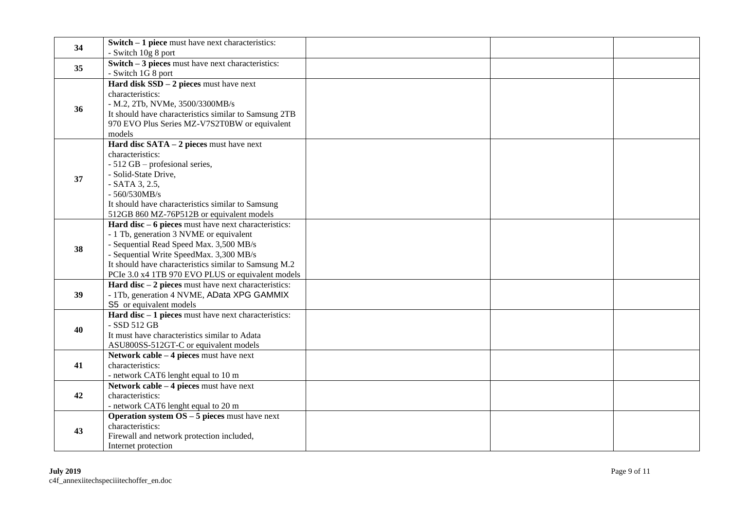|    | Switch $-1$ piece must have next characteristics:      |  |  |
|----|--------------------------------------------------------|--|--|
| 34 | - Switch 10g 8 port                                    |  |  |
| 35 | Switch $-3$ pieces must have next characteristics:     |  |  |
|    | - Switch 1G 8 port                                     |  |  |
|    | Hard disk $SSD - 2$ pieces must have next              |  |  |
|    | characteristics:                                       |  |  |
| 36 | - M.2, 2Tb, NVMe, 3500/3300MB/s                        |  |  |
|    | It should have characteristics similar to Samsung 2TB  |  |  |
|    | 970 EVO Plus Series MZ-V7S2T0BW or equivalent          |  |  |
|    | models                                                 |  |  |
|    | Hard disc $SATA - 2$ pieces must have next             |  |  |
|    | characteristics:                                       |  |  |
|    | - 512 GB – profesional series,                         |  |  |
| 37 | - Solid-State Drive,                                   |  |  |
|    | $-$ SATA 3, 2.5,                                       |  |  |
|    | $-560/530MB/s$                                         |  |  |
|    | It should have characteristics similar to Samsung      |  |  |
|    | 512GB 860 MZ-76P512B or equivalent models              |  |  |
|    | Hard $disc - 6$ pieces must have next characteristics: |  |  |
|    | - 1 Tb, generation 3 NVME or equivalent                |  |  |
| 38 | - Sequential Read Speed Max. 3,500 MB/s                |  |  |
|    | - Sequential Write SpeedMax. 3,300 MB/s                |  |  |
|    | It should have characteristics similar to Samsung M.2  |  |  |
|    | PCIe 3.0 x4 1TB 970 EVO PLUS or equivalent models      |  |  |
|    | Hard $disc - 2$ pieces must have next characteristics: |  |  |
| 39 | - 1Tb, generation 4 NVME, AData XPG GAMMIX             |  |  |
|    | S5 or equivalent models                                |  |  |
|    | Hard $disc - 1$ pieces must have next characteristics: |  |  |
| 40 | - SSD 512 GB                                           |  |  |
|    | It must have characteristics similar to Adata          |  |  |
|    | ASU800SS-512GT-C or equivalent models                  |  |  |
|    | Network $cable - 4$ pieces must have next              |  |  |
| 41 | characteristics:                                       |  |  |
|    | - network CAT6 lenght equal to 10 m                    |  |  |
|    | Network $cable - 4$ pieces must have next              |  |  |
| 42 | characteristics:                                       |  |  |
|    | - network CAT6 lenght equal to 20 m                    |  |  |
|    | <b>Operation system OS - 5 pieces</b> must have next   |  |  |
| 43 | characteristics:                                       |  |  |
|    | Firewall and network protection included,              |  |  |
|    | Internet protection                                    |  |  |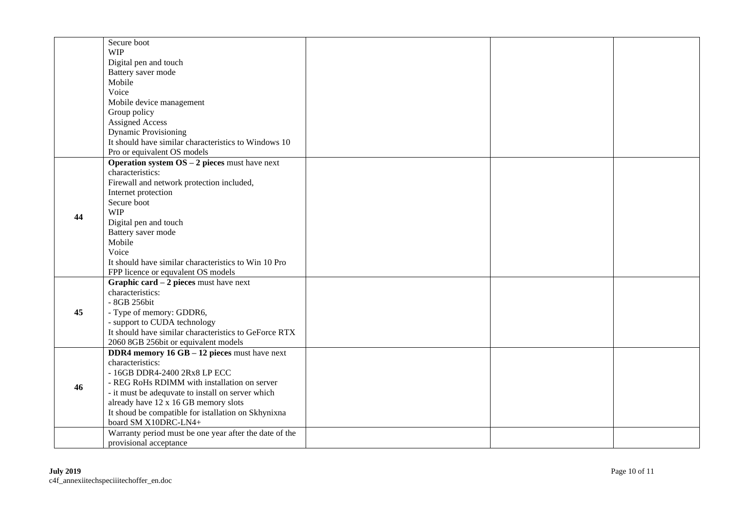|    | Secure boot                                            |  |  |
|----|--------------------------------------------------------|--|--|
|    | <b>WIP</b>                                             |  |  |
|    | Digital pen and touch                                  |  |  |
|    | Battery saver mode                                     |  |  |
|    | Mobile                                                 |  |  |
|    | Voice                                                  |  |  |
|    | Mobile device management                               |  |  |
|    | Group policy                                           |  |  |
|    | <b>Assigned Access</b>                                 |  |  |
|    | <b>Dynamic Provisioning</b>                            |  |  |
|    | It should have similar characteristics to Windows 10   |  |  |
|    | Pro or equivalent OS models                            |  |  |
|    | Operation system OS - 2 pieces must have next          |  |  |
|    | characteristics:                                       |  |  |
|    | Firewall and network protection included,              |  |  |
|    | Internet protection                                    |  |  |
|    | Secure boot                                            |  |  |
| 44 | <b>WIP</b>                                             |  |  |
|    | Digital pen and touch                                  |  |  |
|    | Battery saver mode                                     |  |  |
|    | Mobile                                                 |  |  |
|    | Voice                                                  |  |  |
|    | It should have similar characteristics to Win 10 Pro   |  |  |
|    | FPP licence or equvalent OS models                     |  |  |
|    | Graphic card $-2$ pieces must have next                |  |  |
|    | characteristics:                                       |  |  |
|    | - 8GB 256bit                                           |  |  |
| 45 | - Type of memory: GDDR6,                               |  |  |
|    | - support to CUDA technology                           |  |  |
|    | It should have similar characteristics to GeForce RTX  |  |  |
|    | 2060 8GB 256bit or equivalent models                   |  |  |
|    | DDR4 memory $16$ GB $-12$ pieces must have next        |  |  |
|    | characteristics:                                       |  |  |
|    | - 16GB DDR4-2400 2Rx8 LP ECC                           |  |  |
| 46 | - REG RoHs RDIMM with installation on server           |  |  |
|    | - it must be adequvate to install on server which      |  |  |
|    | already have 12 x 16 GB memory slots                   |  |  |
|    | It shoud be compatible for istallation on Skhynixna    |  |  |
|    | board SM X10DRC-LN4+                                   |  |  |
|    | Warranty period must be one year after the date of the |  |  |
|    | provisional acceptance                                 |  |  |